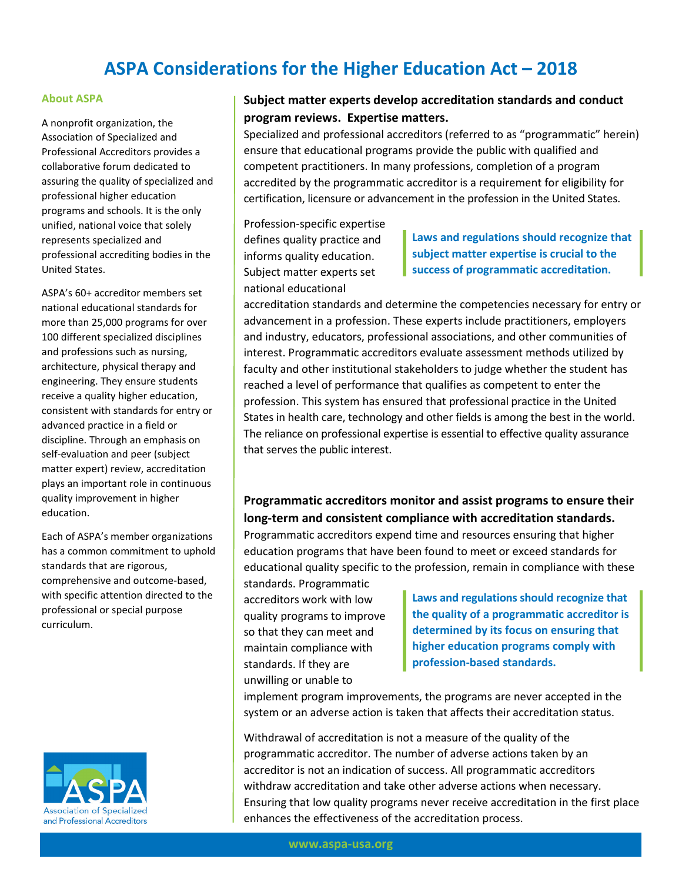# **ASPA Considerations for the Higher Education Act – 2018**

#### **About ASPA**

A nonprofit organization, the Association of Specialized and Professional Accreditors provides a collaborative forum dedicated to assuring the quality of specialized and professional higher education programs and schools. It is the only unified, national voice that solely represents specialized and professional accrediting bodies in the United States.

ASPA's 60+ accreditor members set national educational standards for more than 25,000 programs for over 100 different specialized disciplines and professions such as nursing, architecture, physical therapy and engineering. They ensure students receive a quality higher education, consistent with standards for entry or advanced practice in a field or discipline. Through an emphasis on self-evaluation and peer (subject matter expert) review, accreditation plays an important role in continuous quality improvement in higher education.

Each of ASPA's member organizations has a common commitment to uphold standards that are rigorous, comprehensive and outcome-based, with specific attention directed to the professional or special purpose curriculum.



#### **Subject matter experts develop accreditation standards and conduct program reviews. Expertise matters.**

Specialized and professional accreditors (referred to as "programmatic" herein) ensure that educational programs provide the public with qualified and competent practitioners. In many professions, completion of a program accredited by the programmatic accreditor is a requirement for eligibility for certification, licensure or advancement in the profession in the United States.

Profession-specific expertise defines quality practice and informs quality education. Subject matter experts set national educational

**Laws and regulations should recognize that subject matter expertise is crucial to the success of programmatic accreditation.**

accreditation standards and determine the competencies necessary for entry or advancement in a profession. These experts include practitioners, employers and industry, educators, professional associations, and other communities of interest. Programmatic accreditors evaluate assessment methods utilized by faculty and other institutional stakeholders to judge whether the student has reached a level of performance that qualifies as competent to enter the profession. This system has ensured that professional practice in the United States in health care, technology and other fields is among the best in the world. The reliance on professional expertise is essential to effective quality assurance that serves the public interest.

## **Programmatic accreditors monitor and assist programs to ensure their long-term and consistent compliance with accreditation standards.**

Programmatic accreditors expend time and resources ensuring that higher education programs that have been found to meet or exceed standards for educational quality specific to the profession, remain in compliance with these standards. Programmatic

accreditors work with low quality programs to improve so that they can meet and maintain compliance with standards. If they are unwilling or unable to

**Laws and regulations should recognize that the quality of a programmatic accreditor is determined by its focus on ensuring that higher education programs comply with profession-based standards.**

implement program improvements, the programs are never accepted in the system or an adverse action is taken that affects their accreditation status.

Withdrawal of accreditation is not a measure of the quality of the programmatic accreditor. The number of adverse actions taken by an accreditor is not an indication of success. All programmatic accreditors withdraw accreditation and take other adverse actions when necessary. Ensuring that low quality programs never receive accreditation in the first place enhances the effectiveness of the accreditation process.